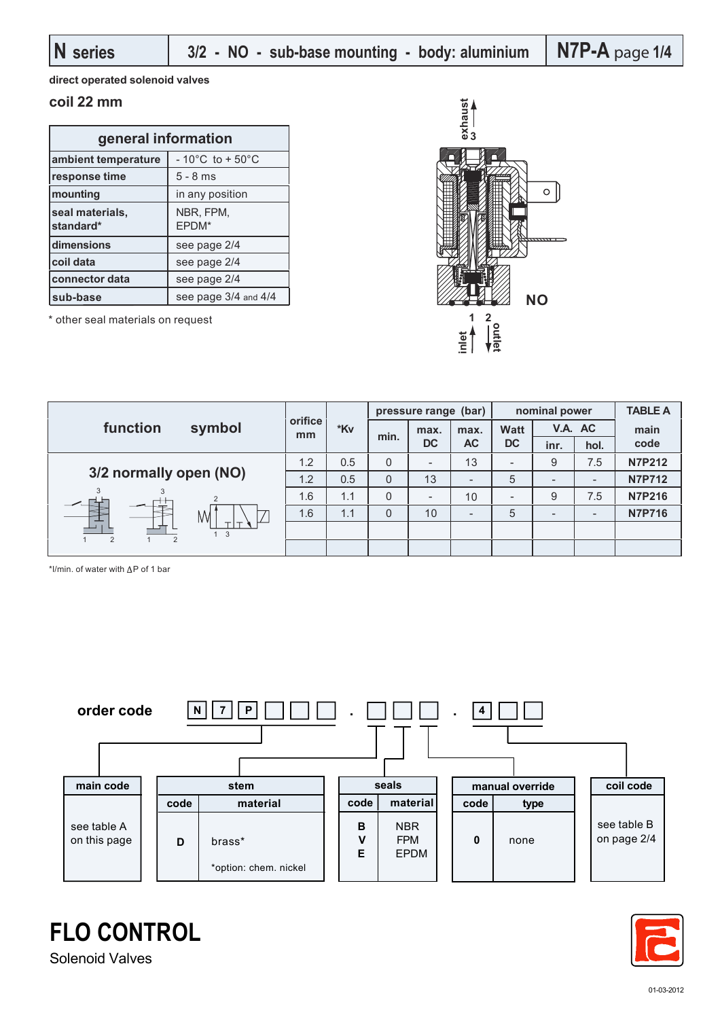**direct operated solenoid valves**

### **coil 22 mm**

| general information          |                                        |  |  |  |  |  |
|------------------------------|----------------------------------------|--|--|--|--|--|
| ambient temperature          | - 10 $^{\circ}$ C to + 50 $^{\circ}$ C |  |  |  |  |  |
| response time                | $5 - 8$ ms                             |  |  |  |  |  |
| mounting                     | in any position                        |  |  |  |  |  |
| seal materials,<br>standard* | NBR, FPM,<br>EPDM*                     |  |  |  |  |  |
| dimensions                   | see page 2/4                           |  |  |  |  |  |
| coil data                    | see page 2/4                           |  |  |  |  |  |
| connector data               | see page 2/4                           |  |  |  |  |  |
| sub-base                     | see page 3/4 and 4/4                   |  |  |  |  |  |

\* other seal materials on request



|                        | symbol | orifice<br>mm |     |              | pressure range (bar)     |           | nominal power            |                          |      | <b>TABLE A</b> |
|------------------------|--------|---------------|-----|--------------|--------------------------|-----------|--------------------------|--------------------------|------|----------------|
| function               |        |               | *Kv | min.         | max.                     | max.      | <b>Watt</b><br><b>DC</b> | V.A. AC                  |      | main           |
|                        |        |               |     |              | <b>DC</b>                | <b>AC</b> |                          | inr.                     | hol. | code           |
| 3/2 normally open (NO) |        | 1.2           | 0.5 | 0            | $\overline{\phantom{a}}$ | 13        | $\overline{\phantom{a}}$ | 9                        | 7.5  | <b>N7P212</b>  |
|                        |        | 1.2           | 0.5 | $\mathbf{0}$ | 13                       | -         | 5                        | $\overline{\phantom{a}}$ |      | <b>N7P712</b>  |
|                        |        | 1.6           | 1.1 | $\Omega$     | -                        | 10        |                          | 9                        | 7.5  | <b>N7P216</b>  |
| M<br>1 <sup>3</sup>    |        | 1.6           | 1.1 | $\mathbf 0$  | 10                       | -         | 5                        | $\overline{\phantom{0}}$ | -    | <b>N7P716</b>  |
|                        |        |               |     |              |                          |           |                          |                          |      |                |
| $\overline{2}$         |        |               |     |              |                          |           |                          |                          |      |                |

\*l/min. of water with  $\Delta P$  of 1 bar





Solenoid Valves

**FLO CONTROL**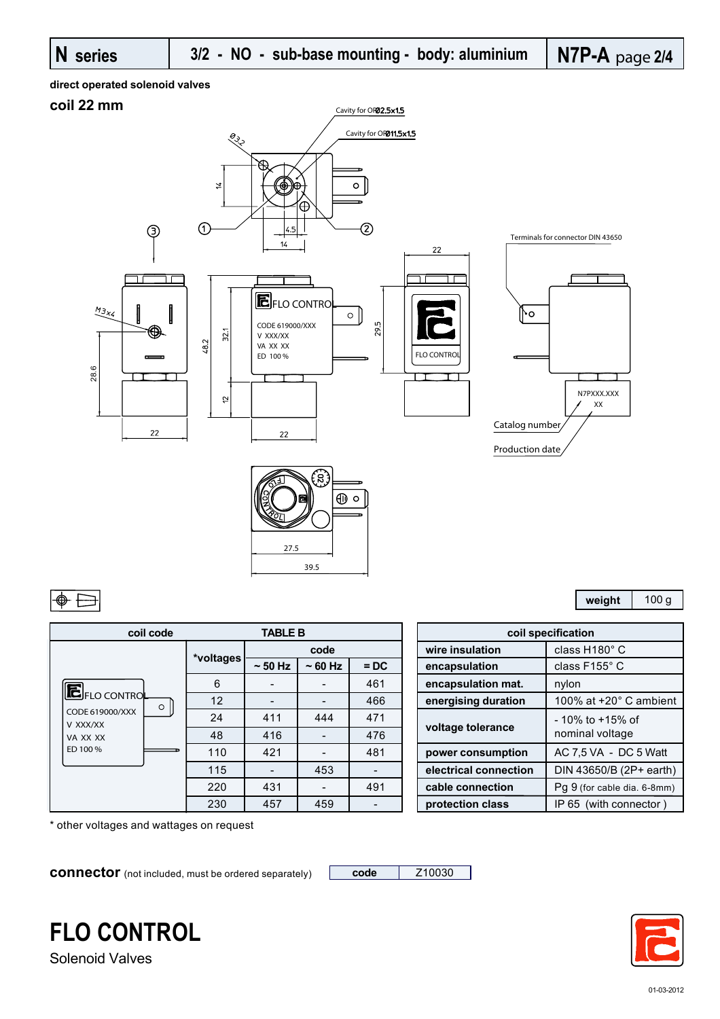#### **direct operated solenoid valves**

## **coil 22 mm**



| ∾.,  | ⊕<br>$\circ$ |
|------|--------------|
|      |              |
| 27.5 |              |
| 39.5 |              |

| <b>TABLE B</b><br>coil code     |           |              |              |        |  |                       | coil specification   |
|---------------------------------|-----------|--------------|--------------|--------|--|-----------------------|----------------------|
|                                 |           | code         |              |        |  | wire insulation       | class H <sup>®</sup> |
|                                 | *voltages | $\sim$ 50 Hz | $\sim$ 60 Hz | $=$ DC |  | encapsulation         | class F1             |
|                                 | 6         |              |              | 461    |  | encapsulation mat.    | nylon                |
| <b>E</b> FLO CONTROL<br>$\circ$ | 12        |              |              | 466    |  | energising duration   | 100% a               |
| CODE 619000/XXX<br>V XXX/XX     | 24        | 411          | 444          | 471    |  | voltage tolerance     | - 10% tc             |
| VA XX XX                        | 48        | 416          |              | 476    |  |                       | nominal              |
| ED 100 %                        | 110       | 421          |              | 481    |  | power consumption     | AC 7,5 \             |
|                                 | 115       |              | 453          |        |  | electrical connection | <b>DIN 436</b>       |
|                                 | 220       | 431          |              | 491    |  | cable connection      | Pg 9 (for            |
|                                 | 230       | 457          | 459          |        |  | protection class      | IP 65 (v             |

| <b>TABLE B</b> |                          |     | coil specification |                       |                               |
|----------------|--------------------------|-----|--------------------|-----------------------|-------------------------------|
|                | code                     |     |                    | wire insulation       | class H180° C                 |
| <b>Itages</b>  | $\sim$ 50 Hz<br>$~50$ Hz |     | $=$ DC             | encapsulation         | class F155° C                 |
| 6              |                          |     | 461                | encapsulation mat.    | nylon                         |
| 12             |                          |     | 466                | energising duration   | 100% at $+20^\circ$ C ambient |
| 24             | 411                      | 444 | 471                |                       | $-10\%$ to $+15\%$ of         |
| 48             | 416                      |     | 476                | voltage tolerance     | nominal voltage               |
| 110            | 421                      |     | 481                | power consumption     | AC 7,5 VA - DC 5 Watt         |
| 115            |                          | 453 |                    | electrical connection | DIN 43650/B (2P+ earth)       |
| 220            | 431                      |     | 491                | cable connection      | Pq 9 (for cable dia. 6-8mm)   |
| 230            | 457                      | 459 |                    | protection class      | IP 65 (with connector)        |
|                |                          |     |                    |                       |                               |

\* other voltages and wattages on request

**connector** (not included, must be ordered separately) **code** | Z10030



Solenoid Valves



**weight** 100 g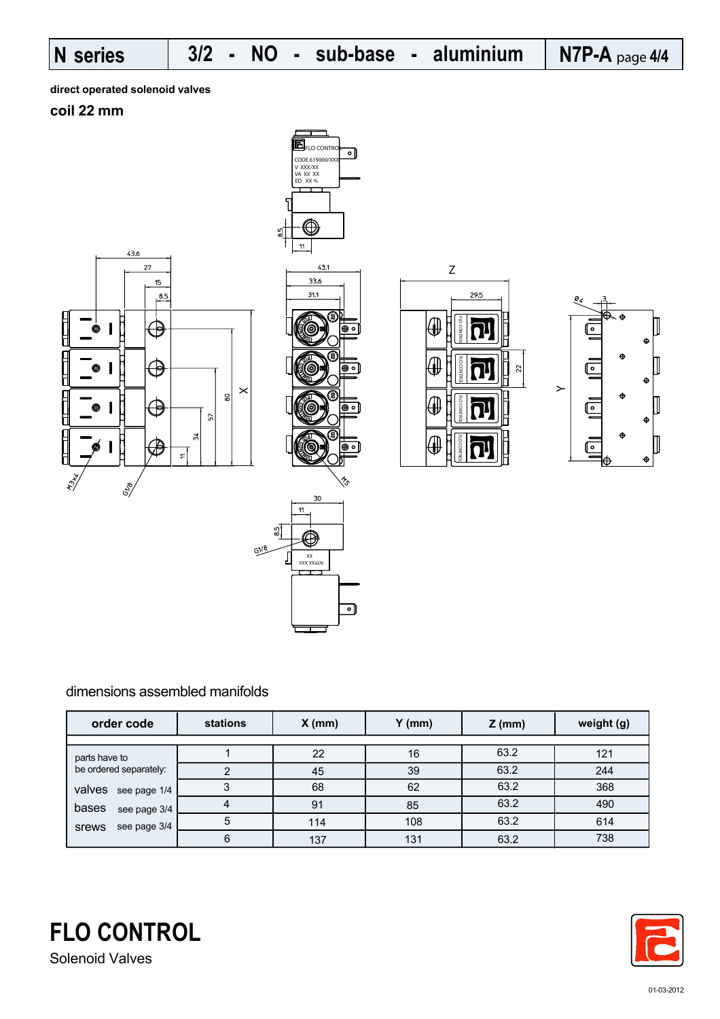**direct operated solenoid valves**

**coil 22 mm**





XXXXXXV  $\ddot{x}$ 

 $\frac{5}{6}$ 

 $618$ 





### dimensions assembled manifolds

| order code             | stations<br>$X$ (mm) |     | $Y$ (mm) | $Z$ (mm) | weight (g) |
|------------------------|----------------------|-----|----------|----------|------------|
|                        |                      |     |          |          |            |
| parts have to          |                      | 22  | 16       | 63.2     | 121        |
| be ordered separately: | າ                    | 45  | 39       | 63.2     | 244        |
| valves<br>see page 1/4 | 3                    | 68  | 62       | 63.2     | 368        |
| bases<br>see page 3/4  | 4                    | 91  | 85       | 63.2     | 490        |
| see page 3/4<br>srews  | 5                    | 114 | 108      | 63.2     | 614        |
|                        | 6                    | 137 | 131      | 63.2     | 738        |

৽৷